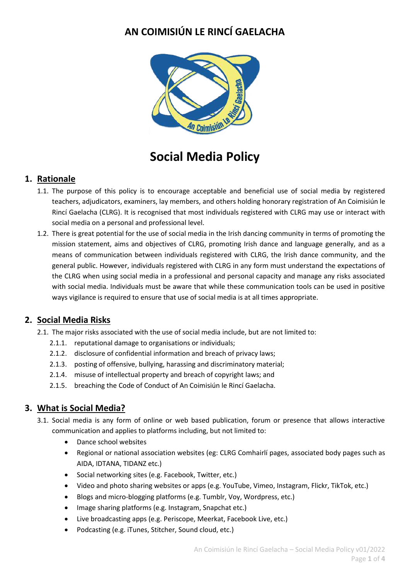# **AN COIMISIÚN LE RINCÍ GAELACHA**



# **Social Media Policy**

#### **1. Rationale**

- 1.1. The purpose of this policy is to encourage acceptable and beneficial use of social media by registered teachers, adjudicators, examiners, lay members, and others holding honorary registration of An Coimisiún le Rincí Gaelacha (CLRG). It is recognised that most individuals registered with CLRG may use or interact with social media on a personal and professional level.
- 1.2. There is great potential for the use of social media in the Irish dancing community in terms of promoting the mission statement, aims and objectives of CLRG, promoting Irish dance and language generally, and as a means of communication between individuals registered with CLRG, the Irish dance community, and the general public. However, individuals registered with CLRG in any form must understand the expectations of the CLRG when using social media in a professional and personal capacity and manage any risks associated with social media. Individuals must be aware that while these communication tools can be used in positive ways vigilance is required to ensure that use of social media is at all times appropriate.

#### **2. Social Media Risks**

- 2.1. The major risks associated with the use of social media include, but are not limited to:
	- 2.1.1. reputational damage to organisations or individuals;
	- 2.1.2. disclosure of confidential information and breach of privacy laws;
	- 2.1.3. posting of offensive, bullying, harassing and discriminatory material;
	- 2.1.4. misuse of intellectual property and breach of copyright laws; and
	- 2.1.5. breaching the Code of Conduct of An Coimisiún le Rincí Gaelacha.

# **3. What is Social Media?**

- 3.1. Social media is any form of online or web based publication, forum or presence that allows interactive communication and applies to platforms including, but not limited to:
	- Dance school websites
	- Regional or national association websites (eg: CLRG Comhairlí pages, associated body pages such as AIDA, IDTANA, TIDANZ etc.)
	- Social networking sites (e.g. Facebook, Twitter, etc.)
	- Video and photo sharing websites or apps (e.g. YouTube, Vimeo, Instagram, Flickr, TikTok, etc.)
	- Blogs and micro-blogging platforms (e.g. Tumblr, Voy, Wordpress, etc.)
	- Image sharing platforms (e.g. Instagram, Snapchat etc.)
	- Live broadcasting apps (e.g. Periscope, Meerkat, Facebook Live, etc.)
	- Podcasting (e.g. iTunes, Stitcher, Sound cloud, etc.)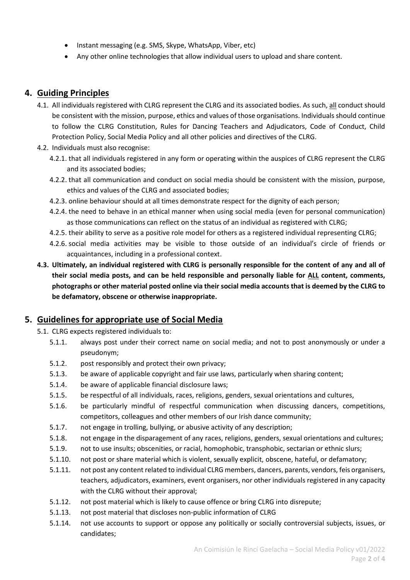- Instant messaging (e.g. SMS, Skype, WhatsApp, Viber, etc)
- Any other online technologies that allow individual users to upload and share content.

#### **4. Guiding Principles**

- 4.1. All individuals registered with CLRG represent the CLRG and its associated bodies. As such, all conduct should be consistent with the mission, purpose, ethics and values of those organisations. Individuals should continue to follow the CLRG Constitution, Rules for Dancing Teachers and Adjudicators, Code of Conduct, Child Protection Policy, Social Media Policy and all other policies and directives of the CLRG.
- 4.2. Individuals must also recognise:
	- 4.2.1. that all individuals registered in any form or operating within the auspices of CLRG represent the CLRG and its associated bodies;
	- 4.2.2. that all communication and conduct on social media should be consistent with the mission, purpose, ethics and values of the CLRG and associated bodies;
	- 4.2.3. online behaviour should at all times demonstrate respect for the dignity of each person;
	- 4.2.4. the need to behave in an ethical manner when using social media (even for personal communication) as those communications can reflect on the status of an individual as registered with CLRG;
	- 4.2.5. their ability to serve as a positive role model for others as a registered individual representing CLRG;
	- 4.2.6. social media activities may be visible to those outside of an individual's circle of friends or acquaintances, including in a professional context.
- **4.3. Ultimately, an individual registered with CLRG is personally responsible for the content of any and all of their social media posts, and can be held responsible and personally liable for ALL content, comments, photographs or other material posted online via their social media accounts that is deemed by the CLRG to be defamatory, obscene or otherwise inappropriate.**

#### **5. Guidelines for appropriate use of Social Media**

- 5.1. CLRG expects registered individuals to:
	- 5.1.1. always post under their correct name on social media; and not to post anonymously or under a pseudonym;
	- 5.1.2. post responsibly and protect their own privacy;
	- 5.1.3. be aware of applicable copyright and fair use laws, particularly when sharing content;
	- 5.1.4. be aware of applicable financial disclosure laws;
	- 5.1.5. be respectful of all individuals, races, religions, genders, sexual orientations and cultures,
	- 5.1.6. be particularly mindful of respectful communication when discussing dancers, competitions, competitors, colleagues and other members of our Irish dance community;
	- 5.1.7. not engage in trolling, bullying, or abusive activity of any description;
	- 5.1.8. not engage in the disparagement of any races, religions, genders, sexual orientations and cultures;
	- 5.1.9. not to use insults; obscenities, or racial, homophobic, transphobic, sectarian or ethnic slurs;
	- 5.1.10. not post or share material which is violent, sexually explicit, obscene, hateful, or defamatory;
	- 5.1.11. not post any content related to individual CLRG members, dancers, parents, vendors, feis organisers, teachers, adjudicators, examiners, event organisers, nor other individuals registered in any capacity with the CLRG without their approval;
	- 5.1.12. not post material which is likely to cause offence or bring CLRG into disrepute;
	- 5.1.13. not post material that discloses non-public information of CLRG
	- 5.1.14. not use accounts to support or oppose any politically or socially controversial subjects, issues, or candidates;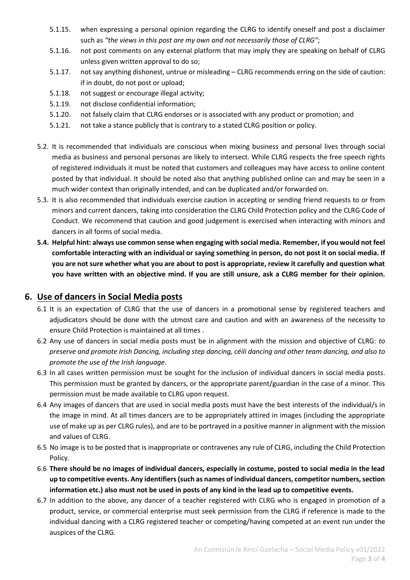- 5.1.15. when expressing a personal opinion regarding the CLRG to identify oneself and post a disclaimer such as *"the views in this post are my own and not necessarily those of CLRG"*;
- 5.1.16. not post comments on any external platform that may imply they are speaking on behalf of CLRG unless given written approval to do so;
- 5.1.17. not say anything dishonest, untrue or misleading CLRG recommends erring on the side of caution: if in doubt, do not post or upload;
- 5.1.18. not suggest or encourage illegal activity;
- 5.1.19. not disclose confidential information;
- 5.1.20. not falsely claim that CLRG endorses or is associated with any product or promotion; and
- 5.1.21. not take a stance publicly that is contrary to a stated CLRG position or policy.
- 5.2. It is recommended that individuals are conscious when mixing business and personal lives through social media as business and personal personas are likely to intersect. While CLRG respects the free speech rights of registered individuals it must be noted that customers and colleagues may have access to online content posted by that individual. It should be noted also that anything published online can and may be seen in a much wider context than originally intended, and can be duplicated and/or forwarded on.
- 5.3. It is also recommended that individuals exercise caution in accepting or sending friend requests to or from minors and current dancers, taking into consideration the CLRG Child Protection policy and the CLRG Code of Conduct. We recommend that caution and good judgement is exercised when interacting with minors and dancers in all forms of social media.
- **5.4. Helpful hint: always use common sense when engaging with social media. Remember, if you would not feel comfortable interacting with an individual or saying something in person, do not post it on social media. If you are not sure whether what you are about to post is appropriate, review it carefully and question what you have written with an objective mind. If you are still unsure, ask a CLRG member for their opinion.**

#### **6. Use of dancers in Social Media posts**

- 6.1 It is an expectation of CLRG that the use of dancers in a promotional sense by registered teachers and adjudicators should be done with the utmost care and caution and with an awareness of the necessity to ensure Child Protection is maintained at all times .
- 6.2 Any use of dancers in social media posts must be in alignment with the mission and objective of CLRG: *to preserve and promote Irish Dancing, including step dancing, céili dancing and other team dancing, and also to promote the use of the Irish language*.
- 6.3 In all cases written permission must be sought for the inclusion of individual dancers in social media posts. This permission must be granted by dancers, or the appropriate parent/guardian in the case of a minor. This permission must be made available to CLRG upon request.
- 6.4 Any images of dancers that are used in social media posts must have the best interests of the individual/s in the image in mind. At all times dancers are to be appropriately attired in images (including the appropriate use of make up as per CLRG rules), and are to be portrayed in a positive manner in alignment with the mission and values of CLRG.
- 6.5 No image is to be posted that is inappropriate or contravenes any rule of CLRG, including the Child Protection Policy.
- 6.6 **There should be no images of individual dancers, especially in costume, posted to social media in the lead up to competitive events. Any identifiers (such as names of individual dancers, competitor numbers, section information etc.) also must not be used in posts of any kind in the lead up to competitive events.**
- 6.7 In addition to the above, any dancer of a teacher registered with CLRG who is engaged in promotion of a product, service, or commercial enterprise must seek permission from the CLRG if reference is made to the individual dancing with a CLRG registered teacher or competing/having competed at an event run under the auspices of the CLRG.